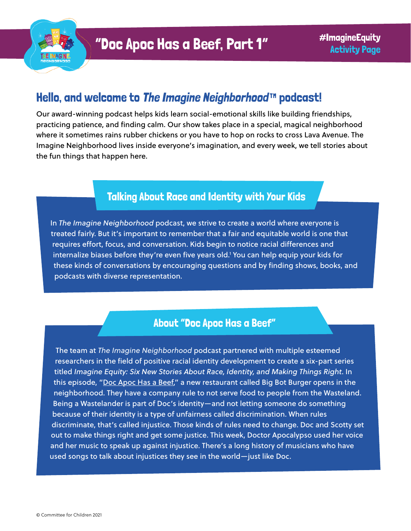

# Hello, and welcome to [The Imagine Neighborhood](https://www.imagineneighborhood.org/)™ podcast!

Our award-winning podcast helps kids learn social-emotional skills like building friendships, practicing patience, and finding calm. Our show takes place in a special, magical neighborhood where it sometimes rains rubber chickens or you have to hop on rocks to cross Lava Avenue. The Imagine Neighborhood lives inside everyone's imagination, and every week, we tell stories about the fun things that happen here.

#### Talking About Race and Identity with Your Kids

In *The Imagine Neighborhood* podcast, we strive to create a world where everyone is treated fairly. But it's important to remember that a fair and equitable world is one that requires effort, focus, and conversation. Kids begin to notice racial differences and internalize biases before they're even five years old.1 You can help equip your kids for these kinds of conversations by encouraging questions and by finding shows, books, and podcasts with diverse representation.

#### About "Doc Apoc Has a Beef"

The team at *The Imagine Neighborhood* podcast partnered with multiple esteemed researchers in the field of positive racial identity development to create a six-part series titled *Imagine Equity: Six New Stories About Race, Identity, and Making Things Right*. In this episode, ["Doc Apoc Has a Beef,](https://www.imagineneighborhood.org/imagineequity)" a new restaurant called Big Bot Burger opens in the neighborhood. They have a company rule to not serve food to people from the Wasteland. Being a Wastelander is part of Doc's identity—and not letting someone do something because of their identity is a type of unfairness called discrimination. When rules discriminate, that's called injustice. Those kinds of rules need to change. Doc and Scotty set out to make things right and get some justice. This week, Doctor Apocalypso used her voice and her music to speak up against injustice. There's a long history of musicians who have used songs to talk about injustices they see in the world—just like Doc.